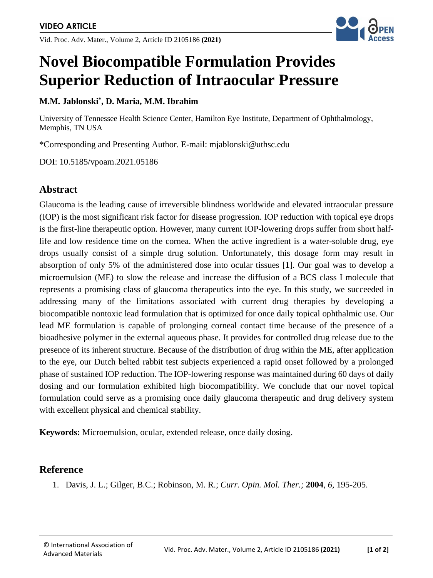Vid. Proc. Adv. Mater., Volume 2, Article ID 2105186 **(2021)**



# **Novel Biocompatible Formulation Provides Superior Reduction of Intraocular Pressure**

#### **M.M. Jablonski\* , D. Maria, M.M. Ibrahim**

University of Tennessee Health Science Center, Hamilton Eye Institute, Department of Ophthalmology, Memphis, TN USA

\*Corresponding and Presenting Author. E-mail: mjablonski@uthsc.edu

DOI: 10.5185/vpoam.2021.05186

### **Abstract**

Glaucoma is the leading cause of irreversible blindness worldwide and elevated intraocular pressure (IOP) is the most significant risk factor for disease progression. IOP reduction with topical eye drops is the first-line therapeutic option. However, many current IOP-lowering drops suffer from short halflife and low residence time on the cornea. When the active ingredient is a water-soluble drug, eye drops usually consist of a simple drug solution. Unfortunately, this dosage form may result in absorption of only 5% of the administered dose into ocular tissues [**1**]. Our goal was to develop a microemulsion (ME) to slow the release and increase the diffusion of a BCS class I molecule that represents a promising class of glaucoma therapeutics into the eye. In this study, we succeeded in addressing many of the limitations associated with current drug therapies by developing a biocompatible nontoxic lead formulation that is optimized for once daily topical ophthalmic use. Our lead ME formulation is capable of prolonging corneal contact time because of the presence of a bioadhesive polymer in the external aqueous phase. It provides for controlled drug release due to the presence of its inherent structure. Because of the distribution of drug within the ME, after application to the eye, our Dutch belted rabbit test subjects experienced a rapid onset followed by a prolonged phase of sustained IOP reduction. The IOP-lowering response was maintained during 60 days of daily dosing and our formulation exhibited high biocompatibility. We conclude that our novel topical formulation could serve as a promising once daily glaucoma therapeutic and drug delivery system with excellent physical and chemical stability.

**Keywords:** Microemulsion, ocular, extended release, once daily dosing.

#### **Reference**

1. Davis, J. L.; Gilger, B.C.; Robinson, M. R.; *Curr. Opin. Mol. Ther.;* **2004**, *6,* 195-205.